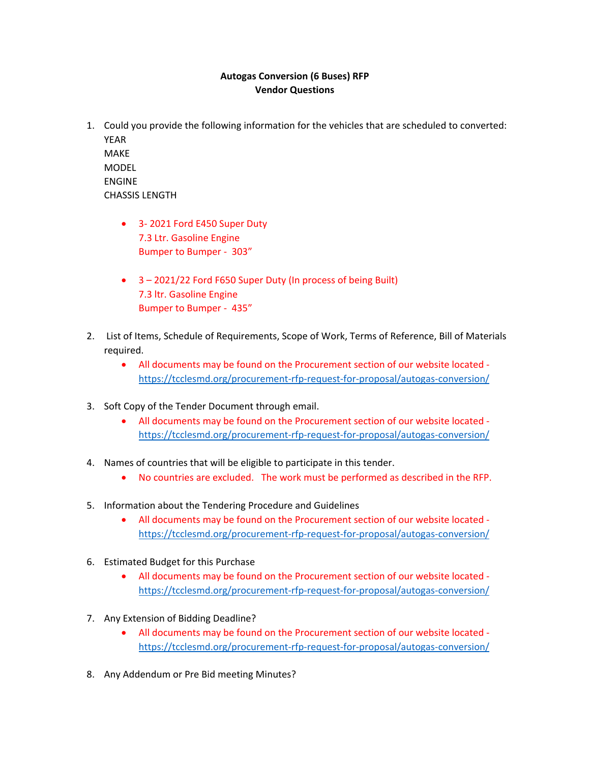## **Autogas Conversion (6 Buses) RFP Vendor Questions**

- 1. Could you provide the following information for the vehicles that are scheduled to converted: YEAR MAKE MODEL ENGINE CHASSIS LENGTH
	- 3-2021 Ford E450 Super Duty 7.3 Ltr. Gasoline Engine Bumper to Bumper ‐ 303"
	- 3 2021/22 Ford F650 Super Duty (In process of being Built) 7.3 ltr. Gasoline Engine Bumper to Bumper ‐ 435"
- 2. List of Items, Schedule of Requirements, Scope of Work, Terms of Reference, Bill of Materials required.
	- All documents may be found on the Procurement section of our website located ‐ https://tcclesmd.org/procurement‐rfp‐request‐for‐proposal/autogas‐conversion/
- 3. Soft Copy of the Tender Document through email.
	- All documents may be found on the Procurement section of our website located ‐ https://tcclesmd.org/procurement‐rfp‐request‐for‐proposal/autogas‐conversion/
- 4. Names of countries that will be eligible to participate in this tender.
	- No countries are excluded. The work must be performed as described in the RFP.
- 5. Information about the Tendering Procedure and Guidelines
	- All documents may be found on the Procurement section of our website located ‐ https://tcclesmd.org/procurement‐rfp‐request‐for‐proposal/autogas‐conversion/
- 6. Estimated Budget for this Purchase
	- All documents may be found on the Procurement section of our website located ‐ https://tcclesmd.org/procurement‐rfp‐request‐for‐proposal/autogas‐conversion/
- 7. Any Extension of Bidding Deadline?
	- All documents may be found on the Procurement section of our website located ‐ https://tcclesmd.org/procurement-rfp-request-for-proposal/autogas-conversion/
- 8. Any Addendum or Pre Bid meeting Minutes?